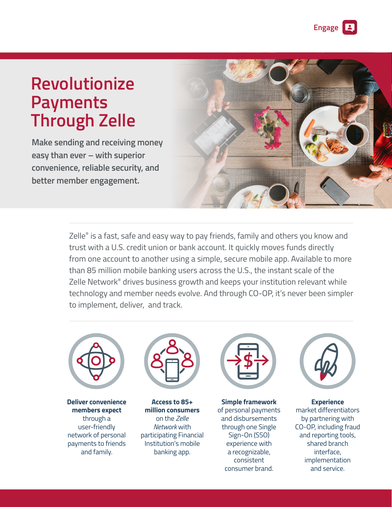**Engage**

# **Revolutionize Payments Through Zelle**

**Make sending and receiving money easy than ever – with superior convenience, reliable security, and better member engagement.**



Zelle® is a fast, safe and easy way to pay friends, family and others you know and trust with a U.S. credit union or bank account. It quickly moves funds directly from one account to another using a simple, secure mobile app. Available to more than 85 million mobile banking users across the U.S., the instant scale of the Zelle Network<sup>®</sup> drives business growth and keeps your institution relevant while technology and member needs evolve. And through CO-OP, it's never been simpler to implement, deliver, and track.



**Deliver convenience members expect** through a user-friendly network of personal payments to friends and family.



**Access to 85+ million consumers** on the *Zelle Network* with participating Financial Institution's mobile banking app.



**Simple framework** of personal payments and disbursements through one Single Sign-On (SSO) experience with a recognizable, consistent consumer brand.



**Experience**  market differentiators by partnering with CO-OP, including fraud and reporting tools, shared branch interface, implementation and service.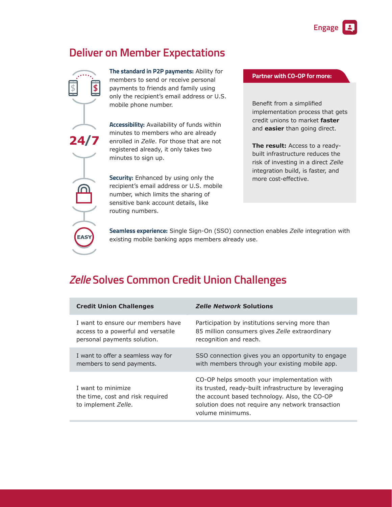# **Deliver on Member Expectations**



**The standard in P2P payments:** Ability for members to send or receive personal payments to friends and family using only the recipient's email address or U.S. mobile phone number.

**Accessibility:** Availability of funds within minutes to members who are already enrolled in *Zelle*. For those that are not registered already, it only takes two minutes to sign up.

**Security:** Enhanced by using only the recipient's email address or U.S. mobile number, which limits the sharing of sensitive bank account details, like routing numbers.

#### **Partner with CO-OP for more:**

Benefit from a simplified implementation process that gets credit unions to market **faster** and **easier** than going direct.

**The result:** Access to a readybuilt infrastructure reduces the risk of investing in a direct *Zelle* integration build, is faster, and more cost-effective.

**Seamless experience:** Single Sign-On (SSO) connection enables *Zelle* integration with existing mobile banking apps members already use.

## *Zelle* **Solves Common Credit Union Challenges**

| <b>Credit Union Challenges</b>                                                | <b>Zelle Network Solutions</b>                                                                                                                                                                                                 |
|-------------------------------------------------------------------------------|--------------------------------------------------------------------------------------------------------------------------------------------------------------------------------------------------------------------------------|
| I want to ensure our members have                                             | Participation by institutions serving more than                                                                                                                                                                                |
| access to a powerful and versatile                                            | 85 million consumers gives Zelle extraordinary                                                                                                                                                                                 |
| personal payments solution.                                                   | recognition and reach.                                                                                                                                                                                                         |
| I want to offer a seamless way for                                            | SSO connection gives you an opportunity to engage                                                                                                                                                                              |
| members to send payments.                                                     | with members through your existing mobile app.                                                                                                                                                                                 |
| I want to minimize<br>the time, cost and risk required<br>to implement Zelle. | CO-OP helps smooth your implementation with<br>its trusted, ready-built infrastructure by leveraging<br>the account based technology. Also, the CO-OP<br>solution does not require any network transaction<br>volume minimums. |